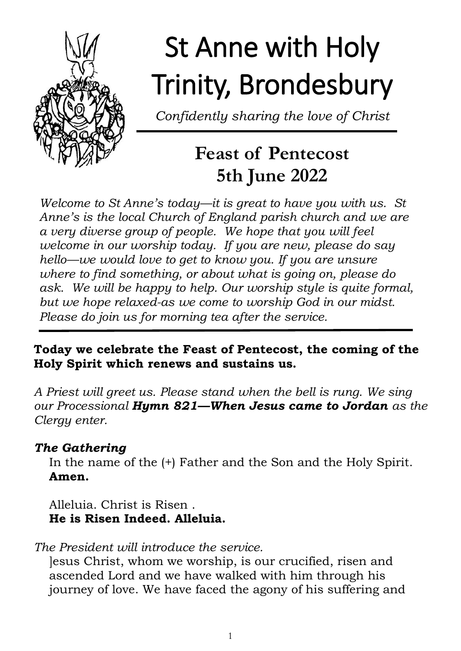

# St Anne with Holy Trinity, Brondesbury

*Confidently sharing the love of Christ*

# **Feast of Pentecost 5th June 2022**

*Welcome to St Anne's today—it is great to have you with us. St Anne's is the local Church of England parish church and we are a very diverse group of people. We hope that you will feel welcome in our worship today. If you are new, please do say hello—we would love to get to know you. If you are unsure where to find something, or about what is going on, please do ask. We will be happy to help. Our worship style is quite formal, but we hope relaxed-as we come to worship God in our midst. Please do join us for morning tea after the service.*

#### **Today we celebrate the Feast of Pentecost, the coming of the Holy Spirit which renews and sustains us.**

*A Priest will greet us. Please stand when the bell is rung. We sing our Processional Hymn 821—When Jesus came to Jordan as the Clergy enter.*

# *The Gathering*

In the name of the (+) Father and the Son and the Holy Spirit. **Amen.**

Alleluia. Christ is Risen . **He is Risen Indeed. Alleluia.**

*The President will introduce the service.*

]esus Christ, whom we worship, is our crucified, risen and ascended Lord and we have walked with him through his journey of love. We have faced the agony of his suffering and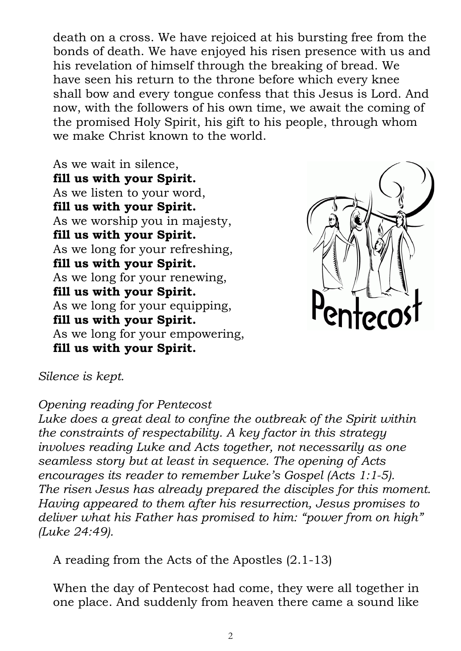death on a cross. We have rejoiced at his bursting free from the bonds of death. We have enjoyed his risen presence with us and his revelation of himself through the breaking of bread. We have seen his return to the throne before which every knee shall bow and every tongue confess that this Jesus is Lord. And now, with the followers of his own time, we await the coming of the promised Holy Spirit, his gift to his people, through whom we make Christ known to the world.

As we wait in silence, **fill us with your Spirit.**  As we listen to your word, **fill us with your Spirit.**  As we worship you in majesty, **fill us with your Spirit.**  As we long for your refreshing, **fill us with your Spirit.**  As we long for your renewing, **fill us with your Spirit.**  As we long for your equipping, **fill us with your Spirit.**  As we long for your empowering, **fill us with your Spirit.** 



#### *Silence is kept.*

#### *Opening reading for Pentecost*

*Luke does a great deal to confine the outbreak of the Spirit within the constraints of respectability. A key factor in this strategy involves reading Luke and Acts together, not necessarily as one seamless story but at least in sequence. The opening of Acts encourages its reader to remember Luke's Gospel (Acts 1:1-5). The risen Jesus has already prepared the disciples for this moment. Having appeared to them after his resurrection, Jesus promises to deliver what his Father has promised to him: "power from on high" (Luke 24:49).* 

A reading from the Acts of the Apostles (2.1-13)

When the day of Pentecost had come, they were all together in one place. And suddenly from heaven there came a sound like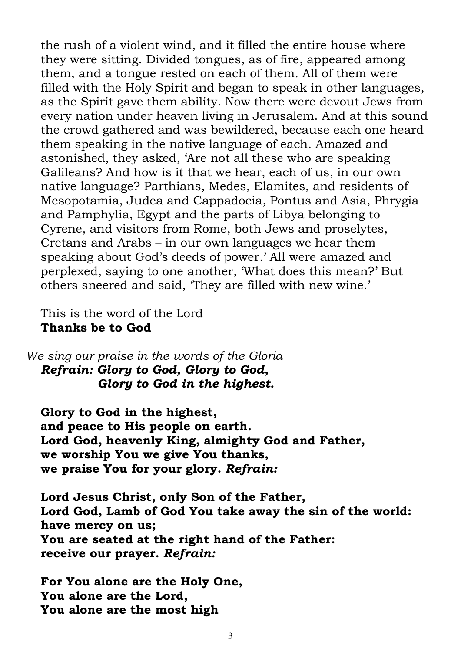the rush of a violent wind, and it filled the entire house where they were sitting. Divided tongues, as of fire, appeared among them, and a tongue rested on each of them. All of them were filled with the Holy Spirit and began to speak in other languages, as the Spirit gave them ability. Now there were devout Jews from every nation under heaven living in Jerusalem. And at this sound the crowd gathered and was bewildered, because each one heard them speaking in the native language of each. Amazed and astonished, they asked, 'Are not all these who are speaking Galileans? And how is it that we hear, each of us, in our own native language? Parthians, Medes, Elamites, and residents of Mesopotamia, Judea and Cappadocia, Pontus and Asia, Phrygia and Pamphylia, Egypt and the parts of Libya belonging to Cyrene, and visitors from Rome, both Jews and proselytes, Cretans and Arabs – in our own languages we hear them speaking about God's deeds of power.' All were amazed and perplexed, saying to one another, 'What does this mean?' But others sneered and said, 'They are filled with new wine.'

This is the word of the Lord **Thanks be to God**

*We sing our praise in the words of the Gloria Refrain: Glory to God, Glory to God, Glory to God in the highest.*

**Glory to God in the highest, and peace to His people on earth. Lord God, heavenly King, almighty God and Father, we worship You we give You thanks, we praise You for your glory.** *Refrain:*

**Lord Jesus Christ, only Son of the Father, Lord God, Lamb of God You take away the sin of the world: have mercy on us; You are seated at the right hand of the Father: receive our prayer.** *Refrain:*

**For You alone are the Holy One, You alone are the Lord, You alone are the most high**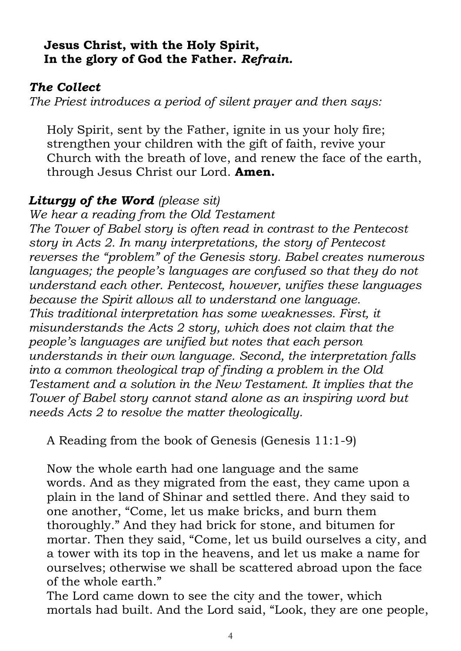#### **Jesus Christ, with the Holy Spirit, In the glory of God the Father.** *Refrain.*

#### *The Collect*

*The Priest introduces a period of silent prayer and then says:* 

Holy Spirit, sent by the Father, ignite in us your holy fire; strengthen your children with the gift of faith, revive your Church with the breath of love, and renew the face of the earth, through Jesus Christ our Lord. **Amen.**

#### *Liturgy of the Word (please sit)*

*We hear a reading from the Old Testament The Tower of Babel story is often read in contrast to the Pentecost story in Acts 2. In many interpretations, the story of Pentecost reverses the "problem" of the Genesis story. Babel creates numerous languages; the people's languages are confused so that they do not understand each other. Pentecost, however, unifies these languages because the Spirit allows all to understand one language. This traditional interpretation has some weaknesses. First, it misunderstands the Acts 2 story, which does not claim that the people's languages are unified but notes that each person understands in their own language. Second, the interpretation falls into a common theological trap of finding a problem in the Old Testament and a solution in the New Testament. It implies that the Tower of Babel story cannot stand alone as an inspiring word but needs Acts 2 to resolve the matter theologically.*

A Reading from the book of Genesis (Genesis 11:1-9)

Now the whole earth had one language and the same words. And as they migrated from the east, they came upon a plain in the land of Shinar and settled there. And they said to one another, "Come, let us make bricks, and burn them thoroughly." And they had brick for stone, and bitumen for mortar. Then they said, "Come, let us build ourselves a city, and a tower with its top in the heavens, and let us make a name for ourselves; otherwise we shall be scattered abroad upon the face of the whole earth."

The Lord came down to see the city and the tower, which mortals had built. And the Lord said, "Look, they are one people,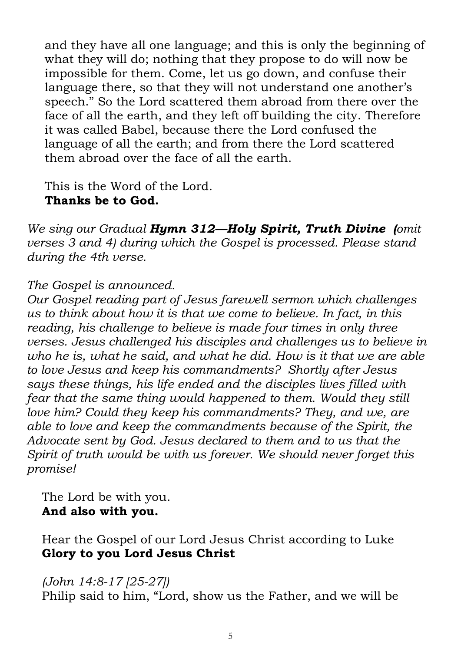and they have all one language; and this is only the beginning of what they will do; nothing that they propose to do will now be impossible for them. Come, let us go down, and confuse their language there, so that they will not understand one another's speech." So the Lord scattered them abroad from there over the face of all the earth, and they left off building the city. Therefore it was called Babel, because there the Lord confused the language of all the earth; and from there the Lord scattered them abroad over the face of all the earth.

This is the Word of the Lord. **Thanks be to God.** 

*We sing our Gradual Hymn 312—Holy Spirit, Truth Divine (omit verses 3 and 4) during which the Gospel is processed. Please stand during the 4th verse.* 

#### *The Gospel is announced.*

*Our Gospel reading part of Jesus farewell sermon which challenges us to think about how it is that we come to believe. In fact, in this reading, his challenge to believe is made four times in only three verses. Jesus challenged his disciples and challenges us to believe in who he is, what he said, and what he did. How is it that we are able to love Jesus and keep his commandments? Shortly after Jesus says these things, his life ended and the disciples lives filled with fear that the same thing would happened to them. Would they still love him? Could they keep his commandments? They, and we, are able to love and keep the commandments because of the Spirit, the Advocate sent by God. Jesus declared to them and to us that the Spirit of truth would be with us forever. We should never forget this promise!*

The Lord be with you. **And also with you.**

Hear the Gospel of our Lord Jesus Christ according to Luke **Glory to you Lord Jesus Christ**

#### *(John 14:8-17 [25-27])*

Philip said to him, "Lord, show us the Father, and we will be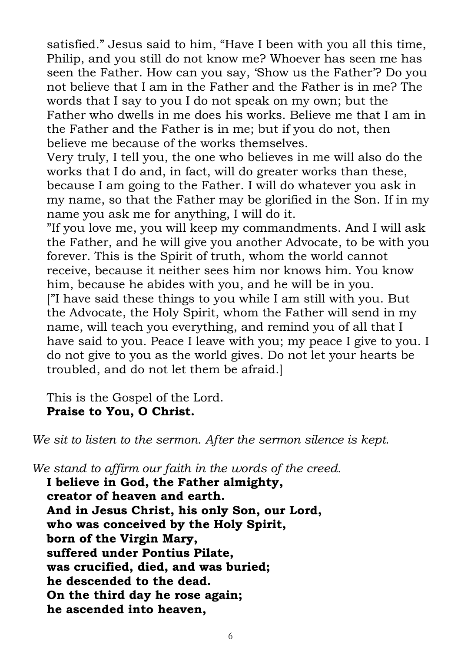satisfied." Jesus said to him, "Have I been with you all this time, Philip, and you still do not know me? Whoever has seen me has seen the Father. How can you say, 'Show us the Father'? Do you not believe that I am in the Father and the Father is in me? The words that I say to you I do not speak on my own; but the Father who dwells in me does his works. Believe me that I am in the Father and the Father is in me; but if you do not, then believe me because of the works themselves.

Very truly, I tell you, the one who believes in me will also do the works that I do and, in fact, will do greater works than these, because I am going to the Father. I will do whatever you ask in my name, so that the Father may be glorified in the Son. If in my name you ask me for anything, I will do it.

"If you love me, you will keep my commandments. And I will ask the Father, and he will give you another Advocate, to be with you forever. This is the Spirit of truth, whom the world cannot receive, because it neither sees him nor knows him. You know him, because he abides with you, and he will be in you. ["I have said these things to you while I am still with you. But the Advocate, the Holy Spirit, whom the Father will send in my name, will teach you everything, and remind you of all that I have said to you. Peace I leave with you; my peace I give to you. I do not give to you as the world gives. Do not let your hearts be troubled, and do not let them be afraid.]

This is the Gospel of the Lord. **Praise to You, O Christ.**

*We sit to listen to the sermon. After the sermon silence is kept.*

*We stand to affirm our faith in the words of the creed.*

**I believe in God, the Father almighty, creator of heaven and earth. And in Jesus Christ, his only Son, our Lord, who was conceived by the Holy Spirit, born of the Virgin Mary, suffered under Pontius Pilate, was crucified, died, and was buried; he descended to the dead. On the third day he rose again; he ascended into heaven,**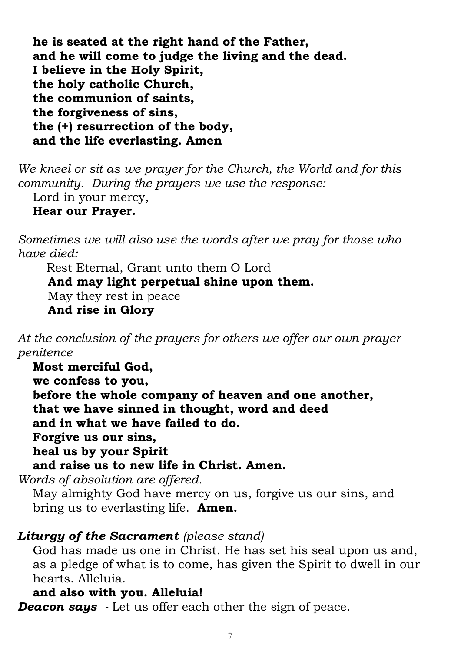**he is seated at the right hand of the Father, and he will come to judge the living and the dead. I believe in the Holy Spirit, the holy catholic Church, the communion of saints, the forgiveness of sins, the (+) resurrection of the body, and the life everlasting. Amen** 

*We kneel or sit as we prayer for the Church, the World and for this community. During the prayers we use the response:* Lord in your mercy,

#### **Hear our Prayer.**

*Sometimes we will also use the words after we pray for those who have died:*

Rest Eternal, Grant unto them O Lord **And may light perpetual shine upon them.** May they rest in peace **And rise in Glory**

*At the conclusion of the prayers for others we offer our own prayer penitence*

**Most merciful God, we confess to you, before the whole company of heaven and one another, that we have sinned in thought, word and deed and in what we have failed to do. Forgive us our sins, heal us by your Spirit and raise us to new life in Christ. Amen.** 

*Words of absolution are offered.*

May almighty God have mercy on us, forgive us our sins, and bring us to everlasting life. **Amen.**

#### *Liturgy of the Sacrament (please stand)*

God has made us one in Christ. He has set his seal upon us and, as a pledge of what is to come, has given the Spirit to dwell in our hearts. Alleluia.

#### **and also with you. Alleluia!**

*Deacon says -* Let us offer each other the sign of peace.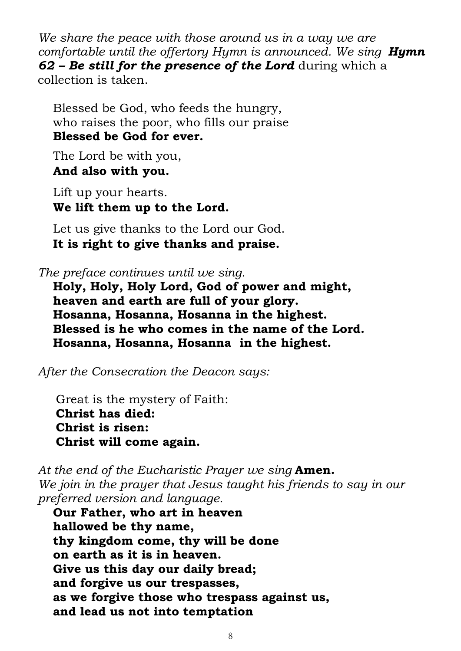*We share the peace with those around us in a way we are comfortable until the offertory Hymn is announced. We sing Hymn 62 – Be still for the presence of the Lord* during which a collection is taken.

Blessed be God, who feeds the hungry, who raises the poor, who fills our praise **Blessed be God for ever.**

The Lord be with you, **And also with you.**

Lift up your hearts. **We lift them up to the Lord.**

Let us give thanks to the Lord our God. **It is right to give thanks and praise.**

*The preface continues until we sing.*

**Holy, Holy, Holy Lord, God of power and might, heaven and earth are full of your glory. Hosanna, Hosanna, Hosanna in the highest. Blessed is he who comes in the name of the Lord. Hosanna, Hosanna, Hosanna in the highest.**

*After the Consecration the Deacon says:*

Great is the mystery of Faith: **Christ has died: Christ is risen: Christ will come again.** 

*At the end of the Eucharistic Prayer we sing* **Amen.** *We join in the prayer that Jesus taught his friends to say in our preferred version and language.* 

**Our Father, who art in heaven hallowed be thy name, thy kingdom come, thy will be done on earth as it is in heaven. Give us this day our daily bread; and forgive us our trespasses, as we forgive those who trespass against us, and lead us not into temptation**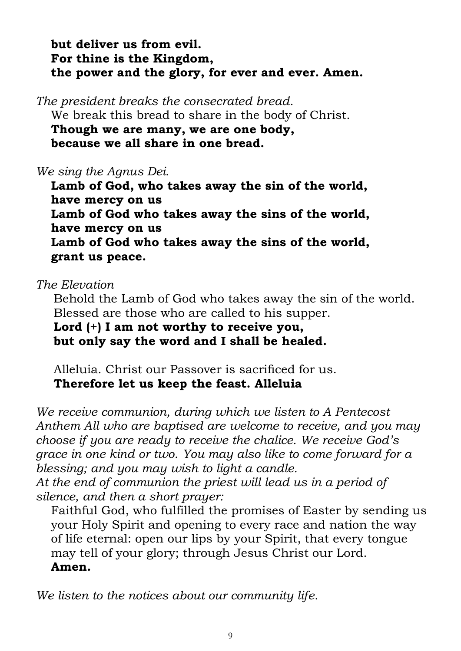**but deliver us from evil. For thine is the Kingdom, the power and the glory, for ever and ever. Amen.**

*The president breaks the consecrated bread*. We break this bread to share in the body of Christ. **Though we are many, we are one body, because we all share in one bread.** 

#### *We sing the Agnus Dei.*

**Lamb of God, who takes away the sin of the world, have mercy on us Lamb of God who takes away the sins of the world, have mercy on us Lamb of God who takes away the sins of the world, grant us peace.**

#### *The Elevation*

Behold the Lamb of God who takes away the sin of the world. Blessed are those who are called to his supper.

**Lord (+) I am not worthy to receive you, but only say the word and I shall be healed.**

Alleluia. Christ our Passover is sacrificed for us. **Therefore let us keep the feast. Alleluia**

*We receive communion, during which we listen to A Pentecost Anthem All who are baptised are welcome to receive, and you may choose if you are ready to receive the chalice. We receive God's grace in one kind or two. You may also like to come forward for a blessing; and you may wish to light a candle.* 

*At the end of communion the priest will lead us in a period of silence, and then a short prayer:*

Faithful God, who fulfilled the promises of Easter by sending us your Holy Spirit and opening to every race and nation the way of life eternal: open our lips by your Spirit, that every tongue may tell of your glory; through Jesus Christ our Lord. **Amen.** 

*We listen to the notices about our community life.*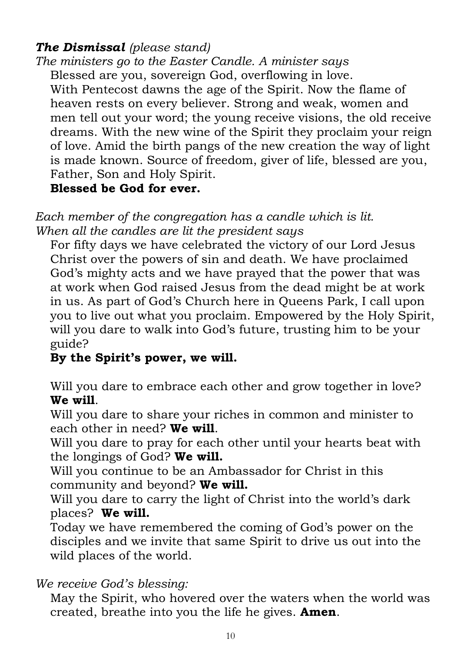# *The Dismissal (please stand)*

*The ministers go to the Easter Candle. A minister says*  Blessed are you, sovereign God, overflowing in love.

With Pentecost dawns the age of the Spirit. Now the flame of heaven rests on every believer. Strong and weak, women and men tell out your word; the young receive visions, the old receive dreams. With the new wine of the Spirit they proclaim your reign of love. Amid the birth pangs of the new creation the way of light is made known. Source of freedom, giver of life, blessed are you, Father, Son and Holy Spirit.

# **Blessed be God for ever.**

*Each member of the congregation has a candle which is lit. When all the candles are lit the president says* 

For fifty days we have celebrated the victory of our Lord Jesus Christ over the powers of sin and death. We have proclaimed God's mighty acts and we have prayed that the power that was at work when God raised Jesus from the dead might be at work in us. As part of God's Church here in Queens Park, I call upon you to live out what you proclaim. Empowered by the Holy Spirit, will you dare to walk into God's future, trusting him to be your guide?

# **By the Spirit's power, we will.**

Will you dare to embrace each other and grow together in love? **We will**.

Will you dare to share your riches in common and minister to each other in need? **We will**.

Will you dare to pray for each other until your hearts beat with the longings of God? **We will.** 

Will you continue to be an Ambassador for Christ in this community and beyond? **We will.** 

Will you dare to carry the light of Christ into the world's dark places? **We will.** 

Today we have remembered the coming of God's power on the disciples and we invite that same Spirit to drive us out into the wild places of the world.

# *We receive God's blessing:*

May the Spirit, who hovered over the waters when the world was created, breathe into you the life he gives. **Amen**.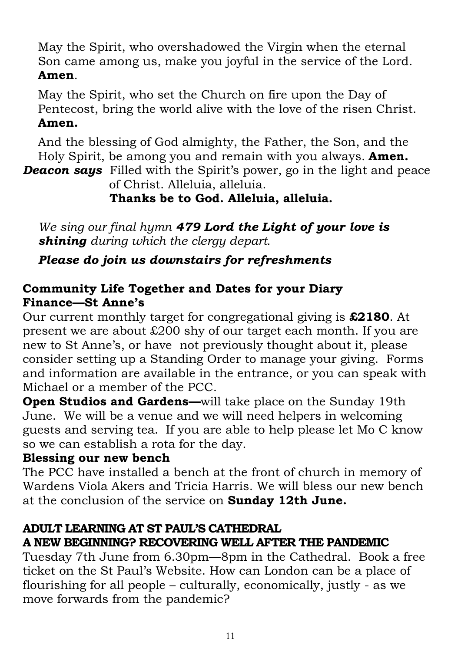May the Spirit, who overshadowed the Virgin when the eternal Son came among us, make you joyful in the service of the Lord. **Amen**.

May the Spirit, who set the Church on fire upon the Day of Pentecost, bring the world alive with the love of the risen Christ. **Amen.** 

And the blessing of God almighty, the Father, the Son, and the Holy Spirit, be among you and remain with you always. **Amen.**

*Deacon says* Filled with the Spirit's power, go in the light and peace of Christ. Alleluia, alleluia.

# **Thanks be to God. Alleluia, alleluia.**

*We sing our final hymn 479 Lord the Light of your love is shining during which the clergy depart.* 

*Please do join us downstairs for refreshments* 

# **Community Life Together and Dates for your Diary Finance—St Anne's**

Our current monthly target for congregational giving is **£2180**. At present we are about £200 shy of our target each month. If you are new to St Anne's, or have not previously thought about it, please consider setting up a Standing Order to manage your giving. Forms and information are available in the entrance, or you can speak with Michael or a member of the PCC.

**Open Studios and Gardens—**will take place on the Sunday 19th June. We will be a venue and we will need helpers in welcoming guests and serving tea. If you are able to help please let Mo C know so we can establish a rota for the day.

# **Blessing our new bench**

The PCC have installed a bench at the front of church in memory of Wardens Viola Akers and Tricia Harris. We will bless our new bench at the conclusion of the service on **Sunday 12th June.** 

# **ADULT LEARNING AT ST PAUL'S CATHEDRAL**

# **A NEW BEGINNING? RECOVERING WELL AFTER THE PANDEMIC**

Tuesday 7th June from 6.30pm—8pm in the Cathedral. Book a free ticket on the St Paul's Website. How can London can be a place of flourishing for all people – culturally, economically, justly - as we move forwards from the pandemic?